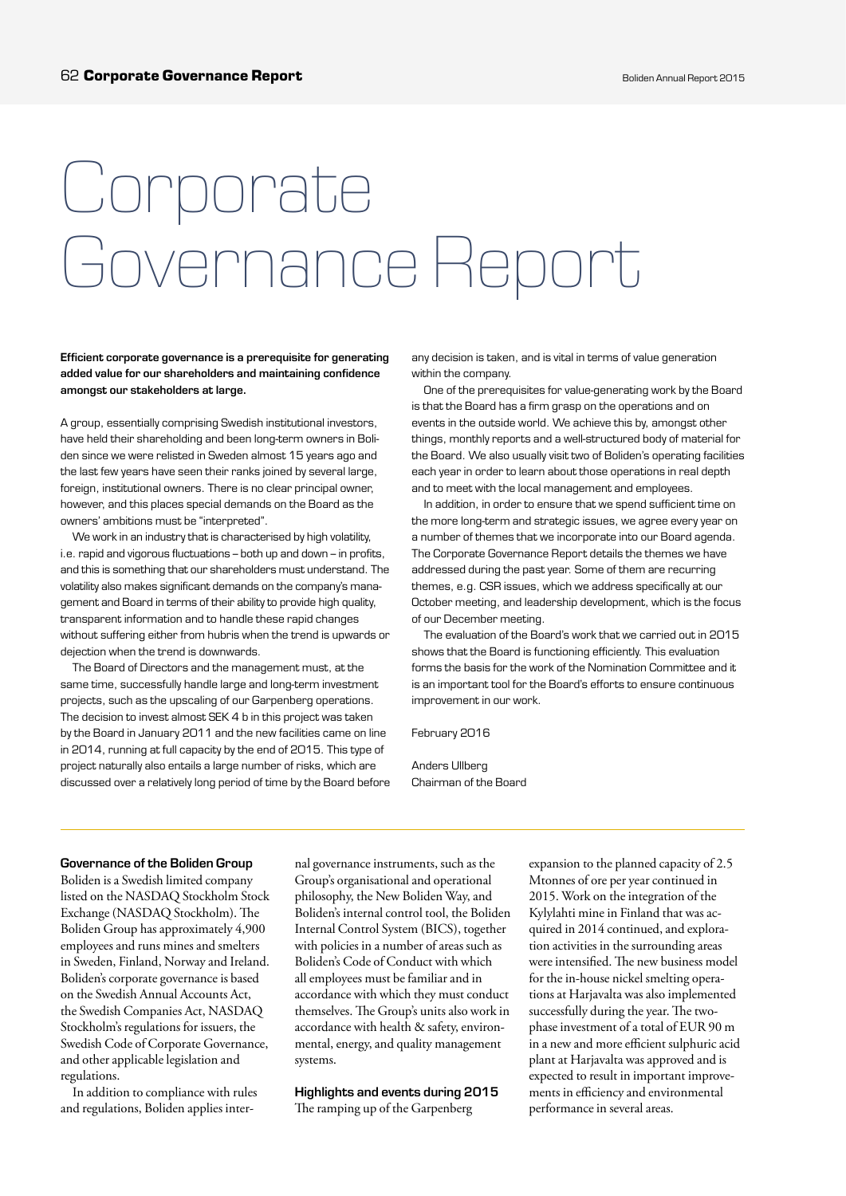# Corporate Governance Report

Efficient corporate governance is a prerequisite for generating added value for our shareholders and maintaining confidence amongst our stakeholders at large.

A group, essentially comprising Swedish institutional investors, have held their shareholding and been long-term owners in Boliden since we were relisted in Sweden almost 15 years ago and the last few years have seen their ranks joined by several large, foreign, institutional owners. There is no clear principal owner, however, and this places special demands on the Board as the owners' ambitions must be "interpreted".

We work in an industry that is characterised by high volatility, i.e. rapid and vigorous fluctuations – both up and down – in profits, and this is something that our shareholders must understand. The volatility also makes significant demands on the company's management and Board in terms of their ability to provide high quality, transparent information and to handle these rapid changes without suffering either from hubris when the trend is upwards or dejection when the trend is downwards.

The Board of Directors and the management must, at the same time, successfully handle large and long-term investment projects, such as the upscaling of our Garpenberg operations. The decision to invest almost SEK 4 b in this project was taken by the Board in January 2011 and the new facilities came on line in 2014, running at full capacity by the end of 2015. This type of project naturally also entails a large number of risks, which are discussed over a relatively long period of time by the Board before any decision is taken, and is vital in terms of value generation within the company.

One of the prerequisites for value-generating work by the Board is that the Board has a firm grasp on the operations and on events in the outside world. We achieve this by, amongst other things, monthly reports and a well-structured body of material for the Board. We also usually visit two of Boliden's operating facilities each year in order to learn about those operations in real depth and to meet with the local management and employees.

In addition, in order to ensure that we spend sufficient time on the more long-term and strategic issues, we agree every year on a number of themes that we incorporate into our Board agenda. The Corporate Governance Report details the themes we have addressed during the past year. Some of them are recurring themes, e.g. CSR issues, which we address specifically at our October meeting, and leadership development, which is the focus of our December meeting.

The evaluation of the Board's work that we carried out in 2015 shows that the Board is functioning efficiently. This evaluation forms the basis for the work of the Nomination Committee and it is an important tool for the Board's efforts to ensure continuous improvement in our work.

February 2016

Anders Ullberg Chairman of the Board

#### Governance of the Boliden Group

Boliden is a Swedish limited company listed on the NASDAQ Stockholm Stock Exchange (NASDAQ Stockholm). The Boliden Group has approximately 4,900 employees and runs mines and smelters in Sweden, Finland, Norway and Ireland. Boliden's corporate governance is based on the Swedish Annual Accounts Act, the Swedish Companies Act, NASDAQ Stockholm's regulations for issuers, the Swedish Code of Corporate Governance, and other applicable legislation and regulations.

In addition to compliance with rules and regulations, Boliden applies inter-

nal governance instruments, such as the Group's organisational and operational philosophy, the New Boliden Way, and Boliden's internal control tool, the Boliden Internal Control System (BICS), together with policies in a number of areas such as Boliden's Code of Conduct with which all employees must be familiar and in accordance with which they must conduct themselves. The Group's units also work in accordance with health & safety, environmental, energy, and quality management systems.

Highlights and events during 2015 The ramping up of the Garpenberg

expansion to the planned capacity of 2.5 Mtonnes of ore per year continued in 2015. Work on the integration of the Kylylahti mine in Finland that was acquired in 2014 continued, and exploration activities in the surrounding areas were intensified. The new business model for the in-house nickel smelting operations at Harjavalta was also implemented successfully during the year. The twophase investment of a total of EUR 90 m in a new and more efficient sulphuric acid plant at Harjavalta was approved and is expected to result in important improvements in efficiency and environmental performance in several areas.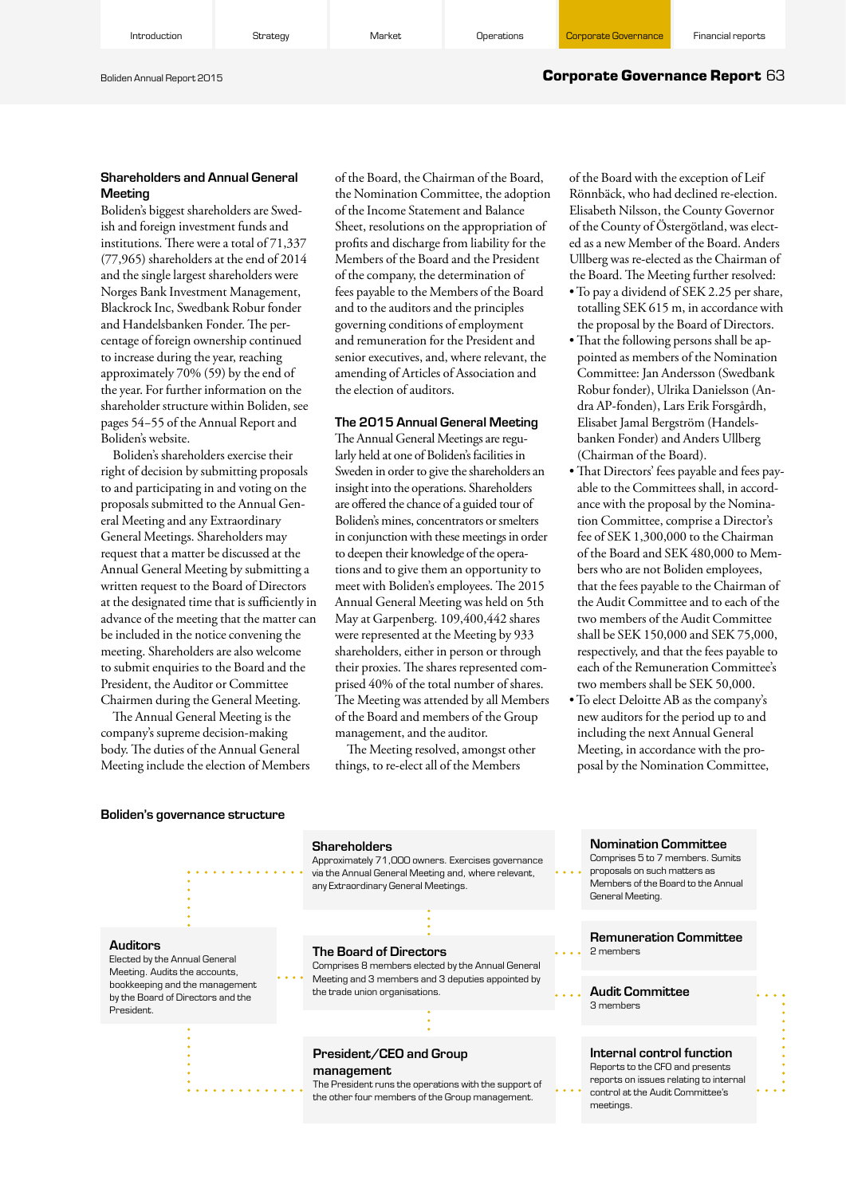#### Boliden Annual Report 2015 **Corporate Governance Report** 63

#### Shareholders and Annual General Meeting

Boliden's biggest shareholders are Swedish and foreign investment funds and institutions. There were a total of 71,337 (77,965) shareholders at the end of 2014 and the single largest shareholders were Norges Bank Investment Management, Blackrock Inc, Swedbank Robur fonder and Handelsbanken Fonder. The percentage of foreign ownership continued to increase during the year, reaching approximately 70% (59) by the end of the year. For further information on the shareholder structure within Boliden, see pages 54−55 of the Annual Report and Boliden's website.

Boliden's shareholders exercise their right of decision by submitting proposals to and participating in and voting on the proposals submitted to the Annual General Meeting and any Extraordinary General Meetings. Shareholders may request that a matter be discussed at the Annual General Meeting by submitting a written request to the Board of Directors at the designated time that is sufficiently in advance of the meeting that the matter can be included in the notice convening the meeting. Shareholders are also welcome to submit enquiries to the Board and the President, the Auditor or Committee Chairmen during the General Meeting.

The Annual General Meeting is the company's supreme decision-making body. The duties of the Annual General Meeting include the election of Members of the Board, the Chairman of the Board, the Nomination Committee, the adoption of the Income Statement and Balance Sheet, resolutions on the appropriation of profits and discharge from liability for the Members of the Board and the President of the company, the determination of fees payable to the Members of the Board and to the auditors and the principles governing conditions of employment and remuneration for the President and senior executives, and, where relevant, the amending of Articles of Association and the election of auditors.

#### The 2015 Annual General Meeting

The Annual General Meetings are regularly held at one of Boliden's facilities in Sweden in order to give the shareholders an insight into the operations. Shareholders are offered the chance of a guided tour of Boliden's mines, concentrators or smelters in conjunction with these meetings in order to deepen their knowledge of the operations and to give them an opportunity to meet with Boliden's employees. The 2015 Annual General Meeting was held on 5th May at Garpenberg. 109,400,442 shares were represented at the Meeting by 933 shareholders, either in person or through their proxies. The shares represented comprised 40% of the total number of shares. The Meeting was attended by all Members of the Board and members of the Group management, and the auditor.

The Meeting resolved, amongst other things, to re-elect all of the Members

of the Board with the exception of Leif Rönnbäck, who had declined re-election. Elisabeth Nilsson, the County Governor of the County of Östergötland, was elected as a new Member of the Board. Anders Ullberg was re-elected as the Chairman of the Board. The Meeting further resolved:

- To pay a dividend of SEK 2.25 per share, totalling SEK 615 m, in accordance with the proposal by the Board of Directors.
- That the following persons shall be appointed as members of the Nomination Committee: Jan Andersson (Swedbank Robur fonder), Ulrika Danielsson (Andra AP-fonden), Lars Erik Forsgårdh, Elisabet Jamal Bergström (Handelsbanken Fonder) and Anders Ullberg (Chairman of the Board).
- That Directors' fees payable and fees payable to the Committees shall, in accordance with the proposal by the Nomination Committee, comprise a Director's fee of SEK 1,300,000 to the Chairman of the Board and SEK 480,000 to Members who are not Boliden employees, that the fees payable to the Chairman of the Audit Committee and to each of the two members of the Audit Committee shall be SEK 150,000 and SEK 75,000, respectively, and that the fees payable to each of the Remuneration Committee's two members shall be SEK 50,000.
- To elect Deloitte AB as the company's new auditors for the period up to and including the next Annual General Meeting, in accordance with the proposal by the Nomination Committee,

#### Boliden's governance structure

#### **Shareholders**

Approximately 71,000 owners. Exercises governance via the Annual General Meeting and, where relevant, any Extraordinary General Meetings.

#### Auditors

Elected by the Annual General Meeting. Audits the accounts, bookkeeping and the management by the Board of Directors and the President.

#### The Board of Directors

Comprises 8 members elected by the Annual General Meeting and 3 members and 3 deputies appointed by the trade union organisations.

#### President/CEO and Group management

The President runs the operations with the support of the other four members of the Group management.

Nomination Committee Comprises 5 to 7 members. Sumits proposals on such matters as

Members of the Board to the Annual General Meeting.

Remuneration Committee 2 members

## Audit Committee

3 members

#### Internal control function

Reports to the CFO and presents reports on issues relating to internal control at the Audit Committee's meetings.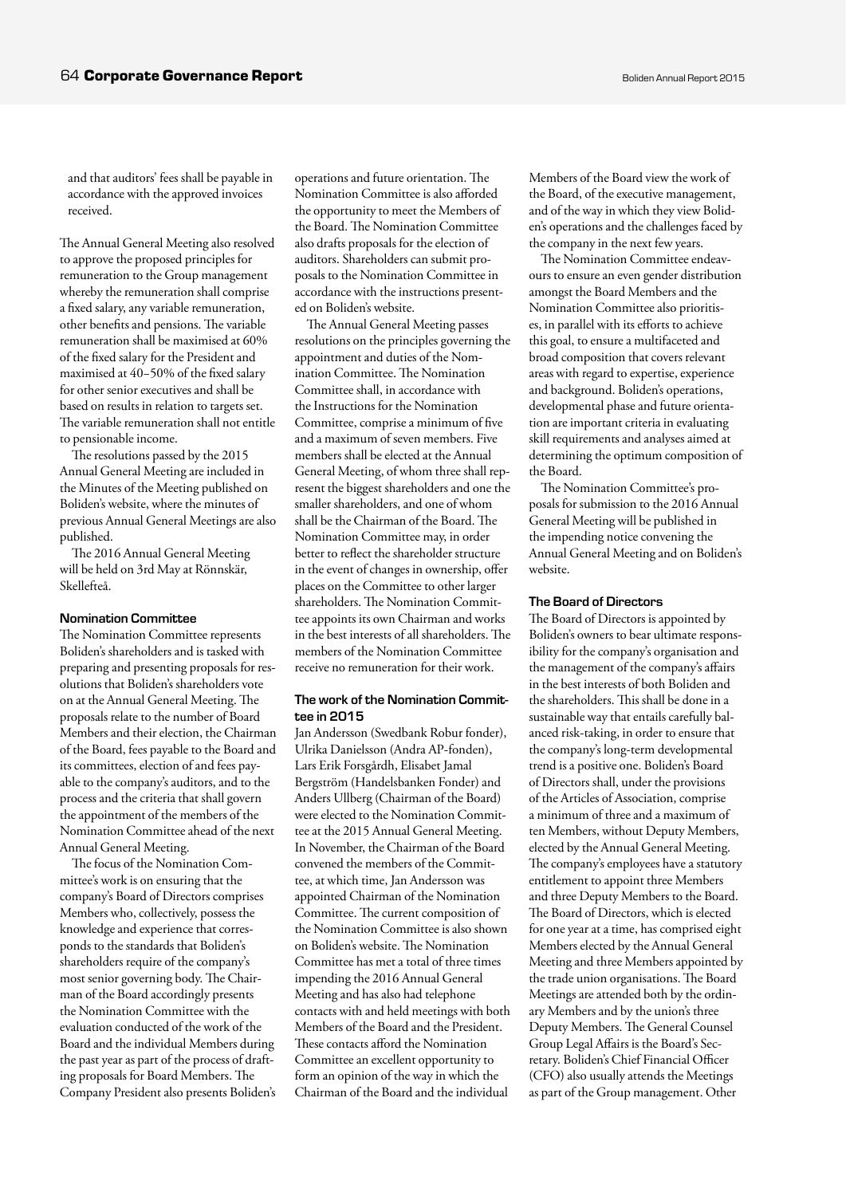and that auditors' fees shall be payable in accordance with the approved invoices received.

The Annual General Meeting also resolved to approve the proposed principles for remuneration to the Group management whereby the remuneration shall comprise a fixed salary, any variable remuneration, other benefits and pensions. The variable remuneration shall be maximised at 60% of the fixed salary for the President and maximised at 40−50% of the fixed salary for other senior executives and shall be based on results in relation to targets set. The variable remuneration shall not entitle to pensionable income.

The resolutions passed by the 2015 Annual General Meeting are included in the Minutes of the Meeting published on Boliden's website, where the minutes of previous Annual General Meetings are also published.

The 2016 Annual General Meeting will be held on 3rd May at Rönnskär, Skellefteå.

#### Nomination Committee

The Nomination Committee represents Boliden's shareholders and is tasked with preparing and presenting proposals for resolutions that Boliden's shareholders vote on at the Annual General Meeting. The proposals relate to the number of Board Members and their election, the Chairman of the Board, fees payable to the Board and its committees, election of and fees payable to the company's auditors, and to the process and the criteria that shall govern the appointment of the members of the Nomination Committee ahead of the next Annual General Meeting.

The focus of the Nomination Committee's work is on ensuring that the company's Board of Directors comprises Members who, collectively, possess the knowledge and experience that corresponds to the standards that Boliden's shareholders require of the company's most senior governing body. The Chairman of the Board accordingly presents the Nomination Committee with the evaluation conducted of the work of the Board and the individual Members during the past year as part of the process of drafting proposals for Board Members. The Company President also presents Boliden's operations and future orientation. The Nomination Committee is also afforded the opportunity to meet the Members of the Board. The Nomination Committee also drafts proposals for the election of auditors. Shareholders can submit proposals to the Nomination Committee in accordance with the instructions presented on Boliden's website.

The Annual General Meeting passes resolutions on the principles governing the appointment and duties of the Nomination Committee. The Nomination Committee shall, in accordance with the Instructions for the Nomination Committee, comprise a minimum of five and a maximum of seven members. Five members shall be elected at the Annual General Meeting, of whom three shall represent the biggest shareholders and one the smaller shareholders, and one of whom shall be the Chairman of the Board. The Nomination Committee may, in order better to reflect the shareholder structure in the event of changes in ownership, offer places on the Committee to other larger shareholders. The Nomination Committee appoints its own Chairman and works in the best interests of all shareholders. The members of the Nomination Committee receive no remuneration for their work.

#### The work of the Nomination Committee in 2015

Jan Andersson (Swedbank Robur fonder), Ulrika Danielsson (Andra AP-fonden), Lars Erik Forsgårdh, Elisabet Jamal Bergström (Handelsbanken Fonder) and Anders Ullberg (Chairman of the Board) were elected to the Nomination Committee at the 2015 Annual General Meeting. In November, the Chairman of the Board convened the members of the Committee, at which time, Jan Andersson was appointed Chairman of the Nomination Committee. The current composition of the Nomination Committee is also shown on Boliden's website. The Nomination Committee has met a total of three times impending the 2016 Annual General Meeting and has also had telephone contacts with and held meetings with both Members of the Board and the President. These contacts afford the Nomination Committee an excellent opportunity to form an opinion of the way in which the Chairman of the Board and the individual

Members of the Board view the work of the Board, of the executive management, and of the way in which they view Boliden's operations and the challenges faced by the company in the next few years.

The Nomination Committee endeavours to ensure an even gender distribution amongst the Board Members and the Nomination Committee also prioritises, in parallel with its efforts to achieve this goal, to ensure a multifaceted and broad composition that covers relevant areas with regard to expertise, experience and background. Boliden's operations, developmental phase and future orientation are important criteria in evaluating skill requirements and analyses aimed at determining the optimum composition of the Board.

The Nomination Committee's proposals for submission to the 2016 Annual General Meeting will be published in the impending notice convening the Annual General Meeting and on Boliden's website.

#### The Board of Directors

The Board of Directors is appointed by Boliden's owners to bear ultimate responsibility for the company's organisation and the management of the company's affairs in the best interests of both Boliden and the shareholders. This shall be done in a sustainable way that entails carefully balanced risk-taking, in order to ensure that the company's long-term developmental trend is a positive one. Boliden's Board of Directors shall, under the provisions of the Articles of Association, comprise a minimum of three and a maximum of ten Members, without Deputy Members, elected by the Annual General Meeting. The company's employees have a statutory entitlement to appoint three Members and three Deputy Members to the Board. The Board of Directors, which is elected for one year at a time, has comprised eight Members elected by the Annual General Meeting and three Members appointed by the trade union organisations. The Board Meetings are attended both by the ordinary Members and by the union's three Deputy Members. The General Counsel Group Legal Affairs is the Board's Secretary. Boliden's Chief Financial Officer (CFO) also usually attends the Meetings as part of the Group management. Other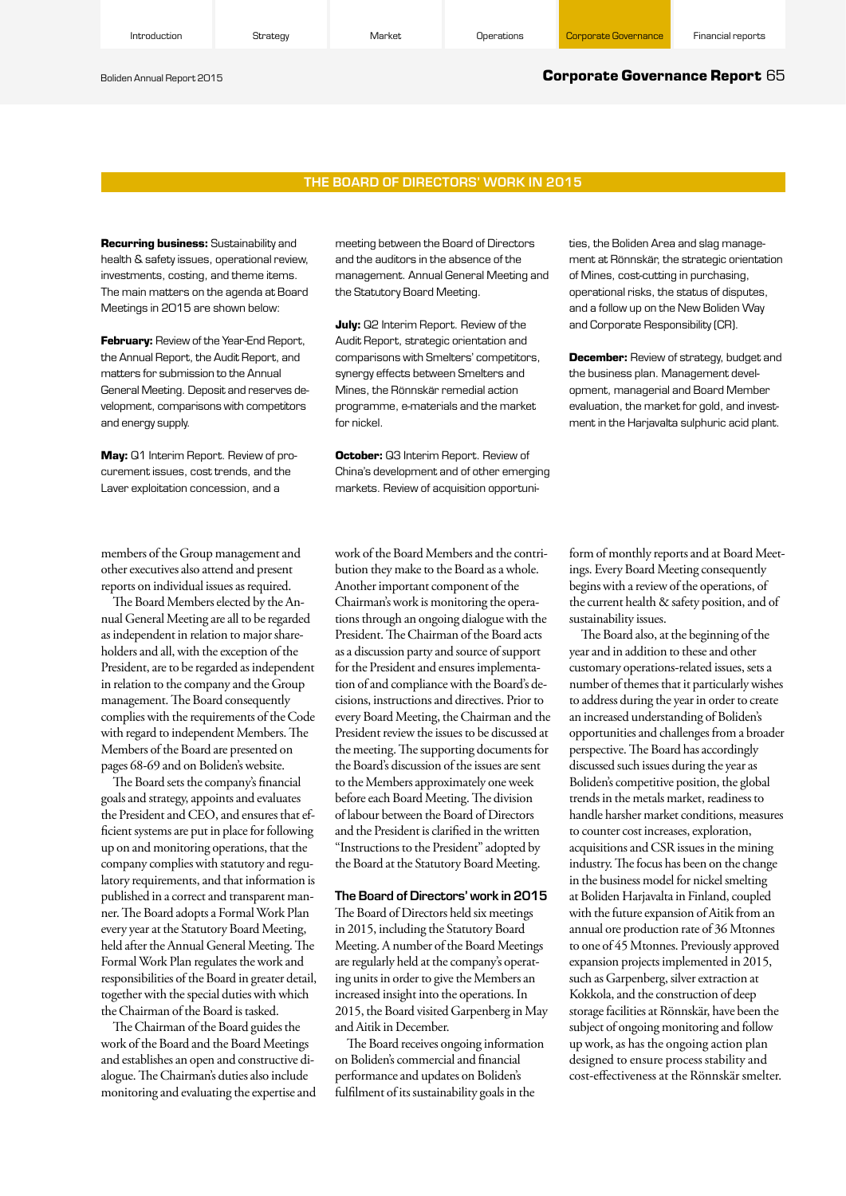#### Boliden Annual Report 2015 **Corporate Governance Report** 65

#### THE BOARD OF DIRECTORS' WORK IN 2015

**Recurring business:** Sustainability and health & safety issues, operational review, investments, costing, and theme items. The main matters on the agenda at Board Meetings in 2015 are shown below:

**February:** Review of the Year-End Report, the Annual Report, the Audit Report, and matters for submission to the Annual General Meeting. Deposit and reserves development, comparisons with competitors and energy supply.

**May:** Q1 Interim Report. Review of procurement issues, cost trends, and the Laver exploitation concession, and a

meeting between the Board of Directors and the auditors in the absence of the management. Annual General Meeting and the Statutory Board Meeting.

**July:** Q2 Interim Report. Review of the Audit Report, strategic orientation and comparisons with Smelters' competitors, synergy effects between Smelters and Mines, the Rönnskär remedial action programme, e-materials and the market for nickel.

**October:** Q3 Interim Report. Review of China's development and of other emerging markets. Review of acquisition opportunities, the Boliden Area and slag management at Rönnskär, the strategic orientation of Mines, cost-cutting in purchasing, operational risks, the status of disputes, and a follow up on the New Boliden Way and Corporate Responsibility (CR).

**December:** Review of strategy, budget and the business plan. Management development, managerial and Board Member evaluation, the market for gold, and investment in the Harjavalta sulphuric acid plant.

members of the Group management and other executives also attend and present reports on individual issues as required.

The Board Members elected by the Annual General Meeting are all to be regarded as independent in relation to major shareholders and all, with the exception of the President, are to be regarded as independent in relation to the company and the Group management. The Board consequently complies with the requirements of the Code with regard to independent Members. The Members of the Board are presented on pages 68-69 and on Boliden's website.

The Board sets the company's financial goals and strategy, appoints and evaluates the President and CEO, and ensures that efficient systems are put in place for following up on and monitoring operations, that the company complies with statutory and regulatory requirements, and that information is published in a correct and transparent manner. The Board adopts a Formal Work Plan every year at the Statutory Board Meeting, held after the Annual General Meeting. The Formal Work Plan regulates the work and responsibilities of the Board in greater detail, together with the special duties with which the Chairman of the Board is tasked.

The Chairman of the Board guides the work of the Board and the Board Meetings and establishes an open and constructive dialogue. The Chairman's duties also include monitoring and evaluating the expertise and work of the Board Members and the contribution they make to the Board as a whole. Another important component of the Chairman's work is monitoring the operations through an ongoing dialogue with the President. The Chairman of the Board acts as a discussion party and source of support for the President and ensures implementation of and compliance with the Board's decisions, instructions and directives. Prior to every Board Meeting, the Chairman and the President review the issues to be discussed at the meeting. The supporting documents for the Board's discussion of the issues are sent to the Members approximately one week before each Board Meeting. The division of labour between the Board of Directors and the President is clarified in the written "Instructions to the President" adopted by the Board at the Statutory Board Meeting.

#### The Board of Directors' work in 2015

The Board of Directors held six meetings in 2015, including the Statutory Board Meeting. A number of the Board Meetings are regularly held at the company's operating units in order to give the Members an increased insight into the operations. In 2015, the Board visited Garpenberg in May and Aitik in December.

The Board receives ongoing information on Boliden's commercial and financial performance and updates on Boliden's fulfilment of its sustainability goals in the

form of monthly reports and at Board Meetings. Every Board Meeting consequently begins with a review of the operations, of the current health & safety position, and of sustainability issues.

The Board also, at the beginning of the year and in addition to these and other customary operations-related issues, sets a number of themes that it particularly wishes to address during the year in order to create an increased understanding of Boliden's opportunities and challenges from a broader perspective. The Board has accordingly discussed such issues during the year as Boliden's competitive position, the global trends in the metals market, readiness to handle harsher market conditions, measures to counter cost increases, exploration, acquisitions and CSR issues in the mining industry. The focus has been on the change in the business model for nickel smelting at Boliden Harjavalta in Finland, coupled with the future expansion of Aitik from an annual ore production rate of 36 Mtonnes to one of 45 Mtonnes. Previously approved expansion projects implemented in 2015, such as Garpenberg, silver extraction at Kokkola, and the construction of deep storage facilities at Rönnskär, have been the subject of ongoing monitoring and follow up work, as has the ongoing action plan designed to ensure process stability and cost-effectiveness at the Rönnskär smelter.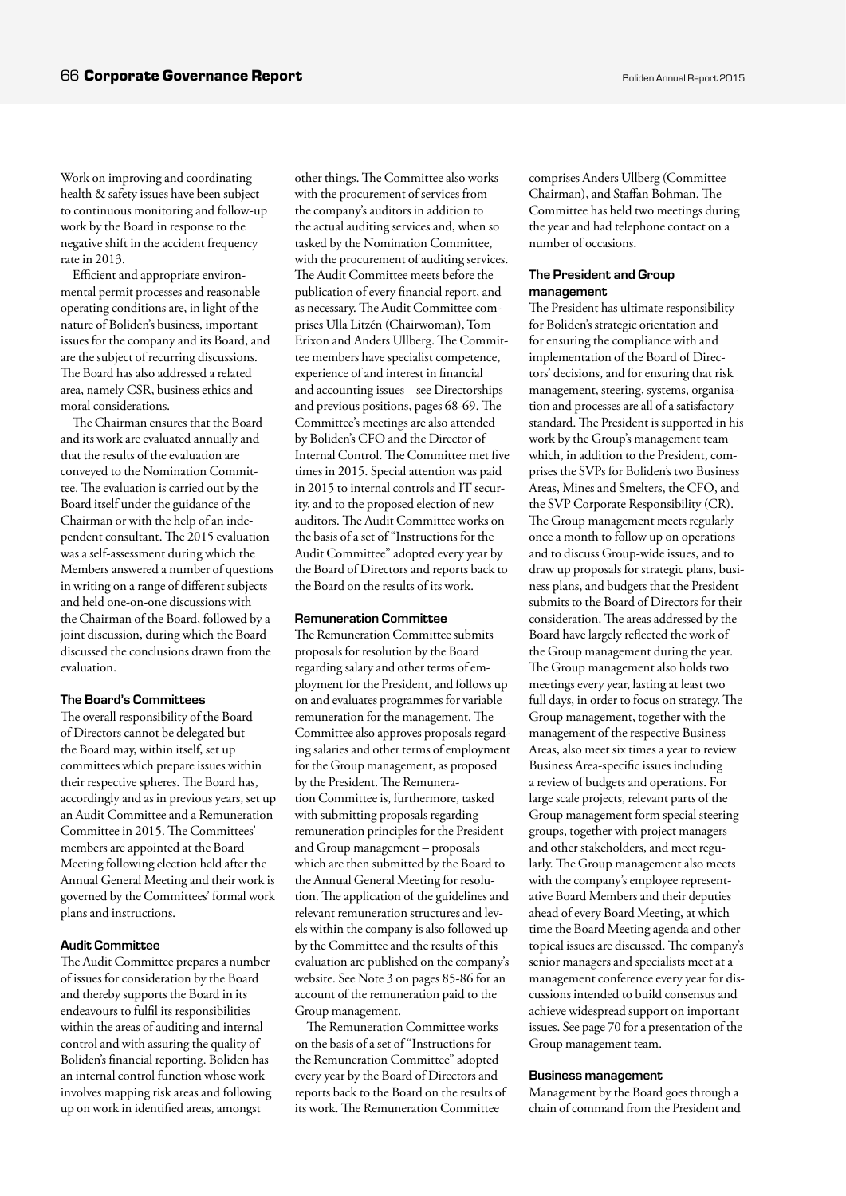Work on improving and coordinating health & safety issues have been subject to continuous monitoring and follow-up work by the Board in response to the negative shift in the accident frequency rate in 2013.

Efficient and appropriate environmental permit processes and reasonable operating conditions are, in light of the nature of Boliden's business, important issues for the company and its Board, and are the subject of recurring discussions. The Board has also addressed a related area, namely CSR, business ethics and moral considerations.

The Chairman ensures that the Board and its work are evaluated annually and that the results of the evaluation are conveyed to the Nomination Committee. The evaluation is carried out by the Board itself under the guidance of the Chairman or with the help of an independent consultant. The 2015 evaluation was a self-assessment during which the Members answered a number of questions in writing on a range of different subjects and held one-on-one discussions with the Chairman of the Board, followed by a joint discussion, during which the Board discussed the conclusions drawn from the evaluation.

#### The Board's Committees

The overall responsibility of the Board of Directors cannot be delegated but the Board may, within itself, set up committees which prepare issues within their respective spheres. The Board has, accordingly and as in previous years, set up an Audit Committee and a Remuneration Committee in 2015. The Committees' members are appointed at the Board Meeting following election held after the Annual General Meeting and their work is governed by the Committees' formal work plans and instructions.

#### Audit Committee

The Audit Committee prepares a number of issues for consideration by the Board and thereby supports the Board in its endeavours to fulfil its responsibilities within the areas of auditing and internal control and with assuring the quality of Boliden's financial reporting. Boliden has an internal control function whose work involves mapping risk areas and following up on work in identified areas, amongst

other things. The Committee also works with the procurement of services from the company's auditors in addition to the actual auditing services and, when so tasked by the Nomination Committee, with the procurement of auditing services. The Audit Committee meets before the publication of every financial report, and as necessary. The Audit Committee comprises Ulla Litzén (Chairwoman), Tom Erixon and Anders Ullberg. The Committee members have specialist competence, experience of and interest in financial and accounting issues – see Directorships and previous positions, pages 68-69. The Committee's meetings are also attended by Boliden's CFO and the Director of Internal Control. The Committee met five times in 2015. Special attention was paid in 2015 to internal controls and IT security, and to the proposed election of new auditors. The Audit Committee works on the basis of a set of "Instructions for the Audit Committee" adopted every year by the Board of Directors and reports back to the Board on the results of its work.

#### Remuneration Committee

The Remuneration Committee submits proposals for resolution by the Board regarding salary and other terms of employment for the President, and follows up on and evaluates programmes for variable remuneration for the management. The Committee also approves proposals regarding salaries and other terms of employment for the Group management, as proposed by the President. The Remuneration Committee is, furthermore, tasked with submitting proposals regarding remuneration principles for the President and Group management – proposals which are then submitted by the Board to the Annual General Meeting for resolution. The application of the guidelines and relevant remuneration structures and levels within the company is also followed up by the Committee and the results of this evaluation are published on the company's website. See Note 3 on pages 85-86 for an account of the remuneration paid to the Group management.

The Remuneration Committee works on the basis of a set of "Instructions for the Remuneration Committee" adopted every year by the Board of Directors and reports back to the Board on the results of its work. The Remuneration Committee

comprises Anders Ullberg (Committee Chairman), and Staffan Bohman. The Committee has held two meetings during the year and had telephone contact on a number of occasions.

#### The President and Group management

The President has ultimate responsibility for Boliden's strategic orientation and for ensuring the compliance with and implementation of the Board of Directors' decisions, and for ensuring that risk management, steering, systems, organisation and processes are all of a satisfactory standard. The President is supported in his work by the Group's management team which, in addition to the President, comprises the SVPs for Boliden's two Business Areas, Mines and Smelters, the CFO, and the SVP Corporate Responsibility (CR). The Group management meets regularly once a month to follow up on operations and to discuss Group-wide issues, and to draw up proposals for strategic plans, business plans, and budgets that the President submits to the Board of Directors for their consideration. The areas addressed by the Board have largely reflected the work of the Group management during the year. The Group management also holds two meetings every year, lasting at least two full days, in order to focus on strategy. The Group management, together with the management of the respective Business Areas, also meet six times a year to review Business Area-specific issues including a review of budgets and operations. For large scale projects, relevant parts of the Group management form special steering groups, together with project managers and other stakeholders, and meet regularly. The Group management also meets with the company's employee representative Board Members and their deputies ahead of every Board Meeting, at which time the Board Meeting agenda and other topical issues are discussed. The company's senior managers and specialists meet at a management conference every year for discussions intended to build consensus and achieve widespread support on important issues. See page 70 for a presentation of the Group management team.

#### Business management

Management by the Board goes through a chain of command from the President and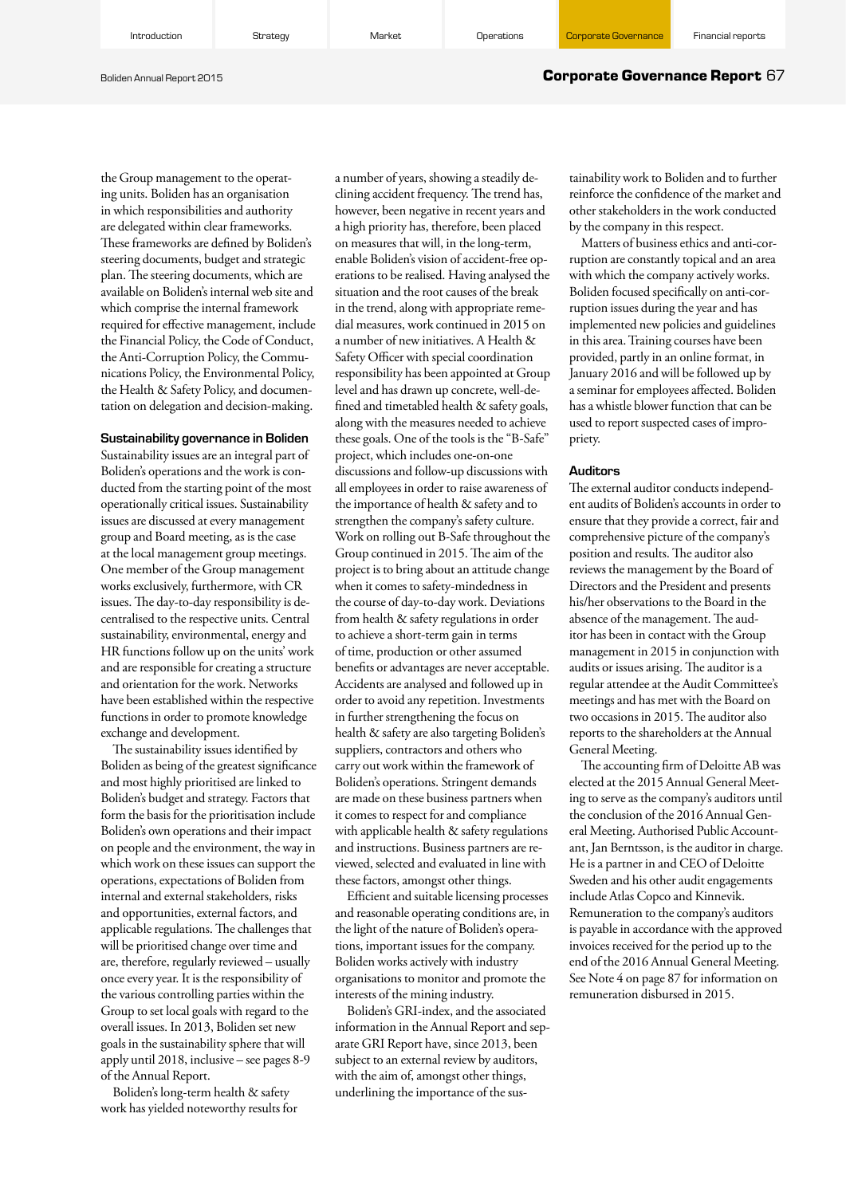Introduction **Strategy Band Construction Construction** Operations

#### Boliden Annual Report 2015 **Corporate Governance Report** 67

the Group management to the operating units. Boliden has an organisation in which responsibilities and authority are delegated within clear frameworks. These frameworks are defined by Boliden's steering documents, budget and strategic plan. The steering documents, which are available on Boliden's internal web site and which comprise the internal framework required for effective management, include the Financial Policy, the Code of Conduct, the Anti-Corruption Policy, the Communications Policy, the Environmental Policy, the Health & Safety Policy, and documentation on delegation and decision-making.

#### Sustainability governance in Boliden

Sustainability issues are an integral part of Boliden's operations and the work is conducted from the starting point of the most operationally critical issues. Sustainability issues are discussed at every management group and Board meeting, as is the case at the local management group meetings. One member of the Group management works exclusively, furthermore, with CR issues. The day-to-day responsibility is decentralised to the respective units. Central sustainability, environmental, energy and HR functions follow up on the units' work and are responsible for creating a structure and orientation for the work. Networks have been established within the respective functions in order to promote knowledge exchange and development.

The sustainability issues identified by Boliden as being of the greatest significance and most highly prioritised are linked to Boliden's budget and strategy. Factors that form the basis for the prioritisation include Boliden's own operations and their impact on people and the environment, the way in which work on these issues can support the operations, expectations of Boliden from internal and external stakeholders, risks and opportunities, external factors, and applicable regulations. The challenges that will be prioritised change over time and are, therefore, regularly reviewed – usually once every year. It is the responsibility of the various controlling parties within the Group to set local goals with regard to the overall issues. In 2013, Boliden set new goals in the sustainability sphere that will apply until 2018, inclusive – see pages 8-9 of the Annual Report.

Boliden's long-term health & safety work has yielded noteworthy results for a number of years, showing a steadily declining accident frequency. The trend has, however, been negative in recent years and a high priority has, therefore, been placed on measures that will, in the long-term, enable Boliden's vision of accident-free operations to be realised. Having analysed the situation and the root causes of the break in the trend, along with appropriate remedial measures, work continued in 2015 on a number of new initiatives. A Health & Safety Officer with special coordination responsibility has been appointed at Group level and has drawn up concrete, well-defined and timetabled health & safety goals, along with the measures needed to achieve these goals. One of the tools is the "B-Safe" project, which includes one-on-one discussions and follow-up discussions with all employees in order to raise awareness of the importance of health & safety and to strengthen the company's safety culture. Work on rolling out B-Safe throughout the Group continued in 2015. The aim of the project is to bring about an attitude change when it comes to safety-mindedness in the course of day-to-day work. Deviations from health & safety regulations in order to achieve a short-term gain in terms of time, production or other assumed benefits or advantages are never acceptable. Accidents are analysed and followed up in order to avoid any repetition. Investments in further strengthening the focus on health & safety are also targeting Boliden's suppliers, contractors and others who carry out work within the framework of Boliden's operations. Stringent demands are made on these business partners when it comes to respect for and compliance with applicable health & safety regulations and instructions. Business partners are reviewed, selected and evaluated in line with these factors, amongst other things.

Efficient and suitable licensing processes and reasonable operating conditions are, in the light of the nature of Boliden's operations, important issues for the company. Boliden works actively with industry organisations to monitor and promote the interests of the mining industry.

Boliden's GRI-index, and the associated information in the Annual Report and separate GRI Report have, since 2013, been subject to an external review by auditors, with the aim of, amongst other things, underlining the importance of the sustainability work to Boliden and to further reinforce the confidence of the market and other stakeholders in the work conducted by the company in this respect.

Matters of business ethics and anti-corruption are constantly topical and an area with which the company actively works. Boliden focused specifically on anti-corruption issues during the year and has implemented new policies and guidelines in this area. Training courses have been provided, partly in an online format, in January 2016 and will be followed up by a seminar for employees affected. Boliden has a whistle blower function that can be used to report suspected cases of impropriety.

#### **Auditors**

The external auditor conducts independent audits of Boliden's accounts in order to ensure that they provide a correct, fair and comprehensive picture of the company's position and results. The auditor also reviews the management by the Board of Directors and the President and presents his/her observations to the Board in the absence of the management. The auditor has been in contact with the Group management in 2015 in conjunction with audits or issues arising. The auditor is a regular attendee at the Audit Committee's meetings and has met with the Board on two occasions in 2015. The auditor also reports to the shareholders at the Annual General Meeting.

The accounting firm of Deloitte AB was elected at the 2015 Annual General Meeting to serve as the company's auditors until the conclusion of the 2016 Annual General Meeting. Authorised Public Accountant, Jan Berntsson, is the auditor in charge. He is a partner in and CEO of Deloitte Sweden and his other audit engagements include Atlas Copco and Kinnevik. Remuneration to the company's auditors is payable in accordance with the approved invoices received for the period up to the end of the 2016 Annual General Meeting. See Note 4 on page 87 for information on remuneration disbursed in 2015.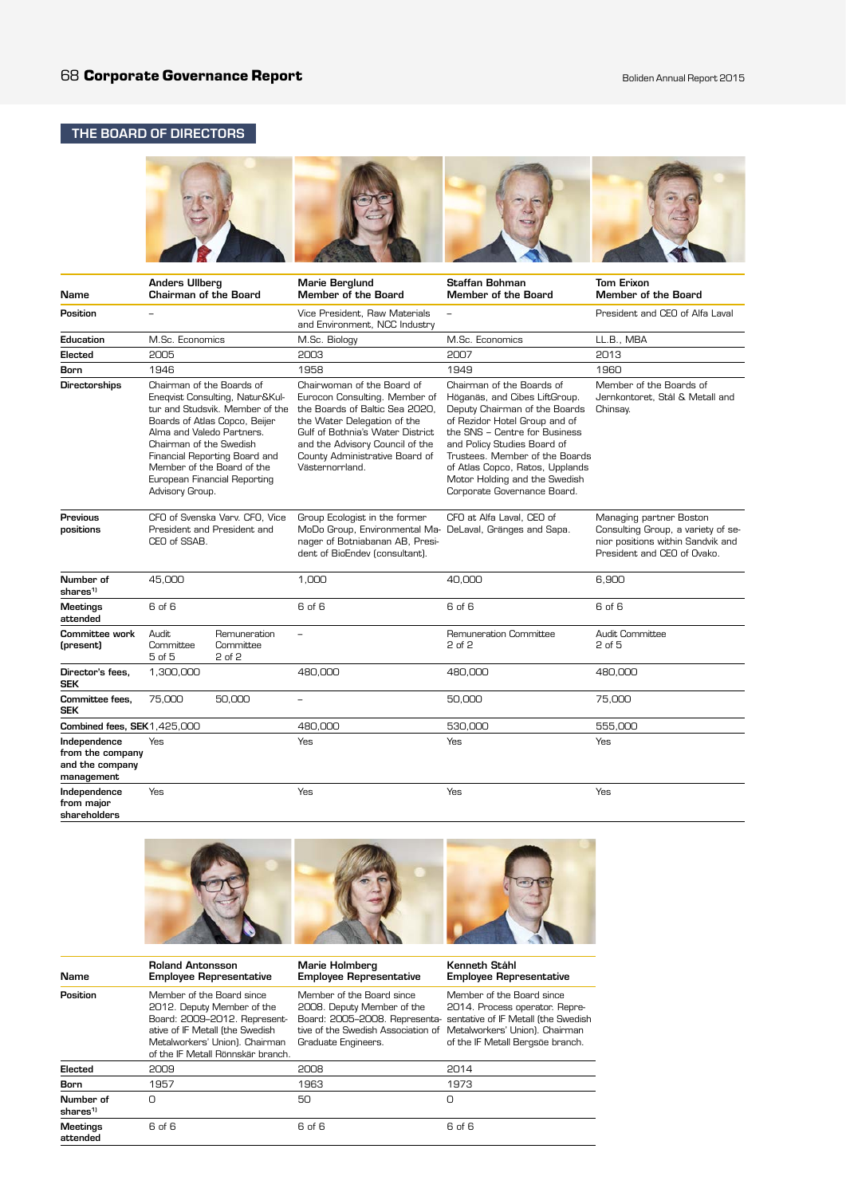## THE BOARD OF DIRECTORS

| Name                                                              | <b>Anders Ullberg</b><br><b>Chairman of the Board</b>                                                                              |                                                                                                                                                                      | Marie Berglund<br>Member of the Board                                                                                                                                                                                                                    | <b>Staffan Bohman</b><br>Member of the Board                                                                                                                                                                                                                                                                                      | <b>Tom Erixon</b><br><b>Member of the Board</b>                                                                                   |
|-------------------------------------------------------------------|------------------------------------------------------------------------------------------------------------------------------------|----------------------------------------------------------------------------------------------------------------------------------------------------------------------|----------------------------------------------------------------------------------------------------------------------------------------------------------------------------------------------------------------------------------------------------------|-----------------------------------------------------------------------------------------------------------------------------------------------------------------------------------------------------------------------------------------------------------------------------------------------------------------------------------|-----------------------------------------------------------------------------------------------------------------------------------|
| Position                                                          | $\overline{a}$                                                                                                                     |                                                                                                                                                                      | Vice President. Raw Materials<br>and Environment, NCC Industry                                                                                                                                                                                           |                                                                                                                                                                                                                                                                                                                                   | President and CEO of Alfa Laval                                                                                                   |
| Education                                                         | M.Sc. Economics                                                                                                                    |                                                                                                                                                                      | M.Sc. Biology                                                                                                                                                                                                                                            | M.Sc. Economics                                                                                                                                                                                                                                                                                                                   | LL.B., MBA                                                                                                                        |
| Elected                                                           | 2005                                                                                                                               |                                                                                                                                                                      | 2003                                                                                                                                                                                                                                                     | 2007                                                                                                                                                                                                                                                                                                                              | 2013                                                                                                                              |
| <b>Born</b>                                                       | 1946                                                                                                                               |                                                                                                                                                                      | 1958                                                                                                                                                                                                                                                     | 1949                                                                                                                                                                                                                                                                                                                              | 1960                                                                                                                              |
| <b>Directorships</b>                                              | Chairman of the Boards of<br>Alma and Valedo Partners.<br>Chairman of the Swedish<br>Member of the Board of the<br>Advisory Group. | Eneqvist Consulting, Natur&Kul-<br>tur and Studsvik. Member of the<br>Boards of Atlas Copco, Beijer<br>Financial Reporting Board and<br>European Financial Reporting | Chairwoman of the Board of<br>Eurocon Consulting, Member of<br>the Boards of Baltic Sea 2020,<br>the Water Delegation of the<br>Gulf of Bothnia's Water District<br>and the Advisory Council of the<br>County Administrative Board of<br>Västernorrland. | Chairman of the Boards of<br>Höganäs, and Cibes LiftGroup.<br>Deputy Chairman of the Boards<br>of Rezidor Hotel Group and of<br>the SNS - Centre for Business<br>and Policy Studies Board of<br>Trustees. Member of the Boards<br>of Atlas Copco, Ratos, Upplands<br>Motor Holding and the Swedish<br>Corporate Governance Board. | Member of the Boards of<br>Jernkontoret. Stål & Metall and<br>Chinsay.                                                            |
| Previous<br>positions                                             | CEO of SSAB.                                                                                                                       | CFO of Svenska Varv. CFO. Vice<br>President and President and                                                                                                        | Group Ecologist in the former<br>MoDo Group, Environmental Ma- DeLaval, Gränges and Sapa.<br>nager of Botniabanan AB, Presi-<br>dent of BioEndev (consultant).                                                                                           | CFO at Alfa Laval, CEO of                                                                                                                                                                                                                                                                                                         | Managing partner Boston<br>Consulting Group, a variety of se-<br>nior positions within Sandvik and<br>President and CEO of Ovako. |
| Number of<br>shares <sup>1</sup>                                  | 45,000                                                                                                                             |                                                                                                                                                                      | 1,000                                                                                                                                                                                                                                                    | 40,000                                                                                                                                                                                                                                                                                                                            | 6,900                                                                                                                             |
| <b>Meetings</b><br>attended                                       | 6 of 6                                                                                                                             |                                                                                                                                                                      | 6 of 6                                                                                                                                                                                                                                                   | 6 of 6                                                                                                                                                                                                                                                                                                                            | 6 of 6                                                                                                                            |
| <b>Committee work</b><br>(present)                                | Audit.<br>Committee<br>5 of 5                                                                                                      | Remuneration<br>Committee<br>2 of 2                                                                                                                                  | $\overline{a}$                                                                                                                                                                                                                                           | Remuneration Committee<br>2 of 2                                                                                                                                                                                                                                                                                                  | Audit Committee<br>2 of 5                                                                                                         |
| Director's fees.<br><b>SEK</b>                                    | 1,300,000                                                                                                                          |                                                                                                                                                                      | 480,000                                                                                                                                                                                                                                                  | 480,000                                                                                                                                                                                                                                                                                                                           | 480,000                                                                                                                           |
| Committee fees,<br><b>SEK</b>                                     | 75,000                                                                                                                             | 50,000                                                                                                                                                               | $\overline{a}$                                                                                                                                                                                                                                           | 50,000                                                                                                                                                                                                                                                                                                                            | 75,000                                                                                                                            |
| Combined fees, SEK1,425,000                                       |                                                                                                                                    |                                                                                                                                                                      | 480,000                                                                                                                                                                                                                                                  | 530,000                                                                                                                                                                                                                                                                                                                           | 555,000                                                                                                                           |
| Independence<br>from the company<br>and the company<br>management | Yes                                                                                                                                |                                                                                                                                                                      | Yes                                                                                                                                                                                                                                                      | Yes                                                                                                                                                                                                                                                                                                                               | Yes                                                                                                                               |
| Independence<br>from major<br>shareholders                        | Yes                                                                                                                                |                                                                                                                                                                      | Yes                                                                                                                                                                                                                                                      | Yes                                                                                                                                                                                                                                                                                                                               | Yes                                                                                                                               |



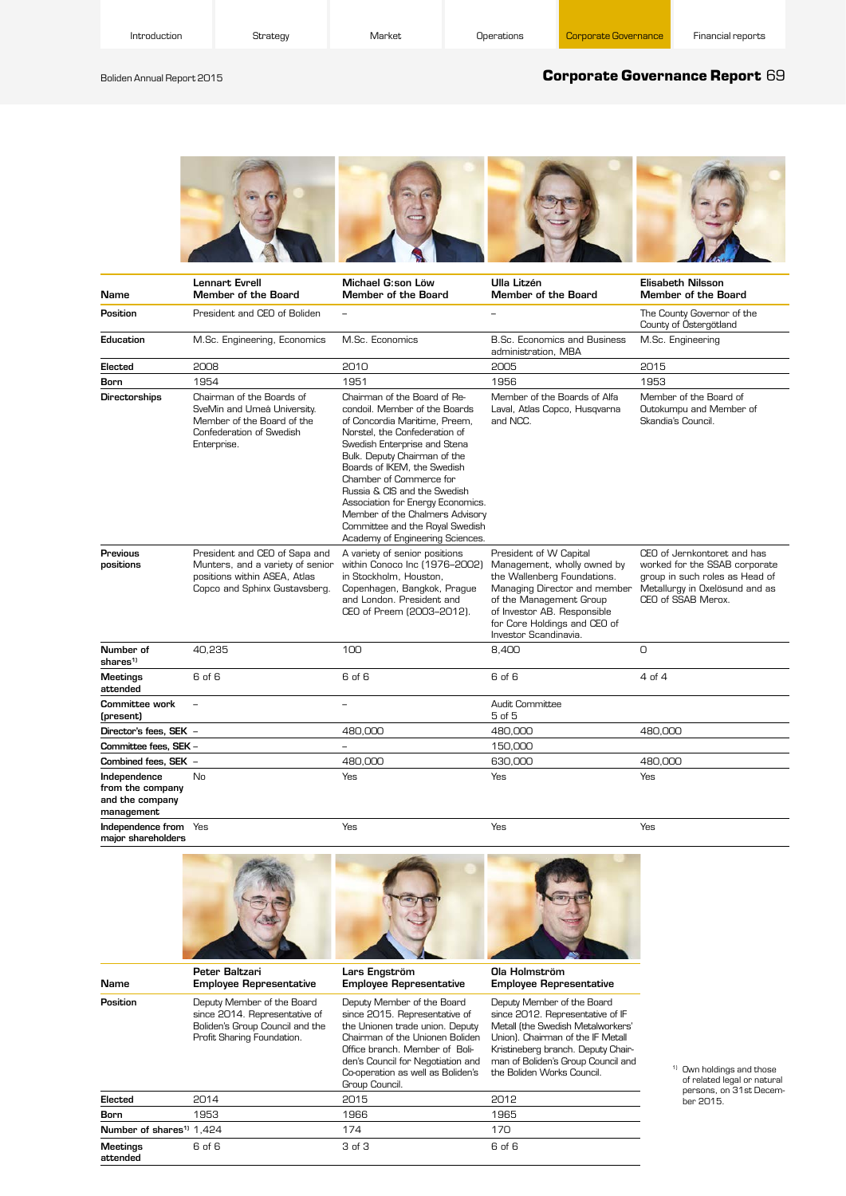Boliden Annual Report 2015

Name

### **Corporate Governance Report** 69



| Name                                                              | Lennart Evrell<br>Member of the Board                                                                                              | Michael G:son Löw<br>Member of the Board                                                                                                                                                                                                                                                                                                                                                                                                 | Ulla Litzén<br>Member of the Board                                                                                                                                                                                                      | Elisabeth Nilsson<br>Member of the Board                                                                                                               |
|-------------------------------------------------------------------|------------------------------------------------------------------------------------------------------------------------------------|------------------------------------------------------------------------------------------------------------------------------------------------------------------------------------------------------------------------------------------------------------------------------------------------------------------------------------------------------------------------------------------------------------------------------------------|-----------------------------------------------------------------------------------------------------------------------------------------------------------------------------------------------------------------------------------------|--------------------------------------------------------------------------------------------------------------------------------------------------------|
| Position                                                          | President and CEO of Boliden                                                                                                       | $\overline{\phantom{0}}$                                                                                                                                                                                                                                                                                                                                                                                                                 | $\overline{\phantom{0}}$                                                                                                                                                                                                                | The County Governor of the<br>County of Östergötland                                                                                                   |
| Education                                                         | M.Sc. Engineering, Economics                                                                                                       | M.Sc. Economics                                                                                                                                                                                                                                                                                                                                                                                                                          | <b>B.Sc. Economics and Business</b><br>administration, MBA                                                                                                                                                                              | M.Sc. Engineering                                                                                                                                      |
| Elected                                                           | 2008                                                                                                                               | 2010                                                                                                                                                                                                                                                                                                                                                                                                                                     | 2005                                                                                                                                                                                                                                    | 2015                                                                                                                                                   |
| Born                                                              | 1954                                                                                                                               | 1951                                                                                                                                                                                                                                                                                                                                                                                                                                     | 1956                                                                                                                                                                                                                                    | 1953                                                                                                                                                   |
| <b>Directorships</b>                                              | Chairman of the Boards of<br>SveMin and Umeå University.<br>Member of the Board of the<br>Confederation of Swedish<br>Enterprise.  | Chairman of the Board of Re-<br>condoil. Member of the Boards<br>of Concordia Maritime, Preem,<br>Norstel, the Confederation of<br>Swedish Enterprise and Stena<br>Bulk. Deputy Chairman of the<br>Boards of IKEM, the Swedish<br>Chamber of Commerce for<br>Russia & CIS and the Swedish<br>Association for Energy Economics.<br>Member of the Chalmers Advisory<br>Committee and the Royal Swedish<br>Academy of Engineering Sciences. | Member of the Boards of Alfa<br>Laval, Atlas Copco, Husqvarna<br>and NCC.                                                                                                                                                               | Member of the Board of<br>Outokumpu and Member of<br>Skandia's Council.                                                                                |
| Previous<br>positions                                             | President and CEO of Sapa and<br>Munters, and a variety of senior<br>positions within ASEA, Atlas<br>Copco and Sphinx Gustavsberg. | A variety of senior positions<br>within Conoco Inc (1976-2002)<br>in Stockholm, Houston,<br>Copenhagen, Bangkok, Prague<br>and London. President and<br>CEO of Preem (2003-2012).                                                                                                                                                                                                                                                        | President of W Capital<br>Management, wholly owned by<br>the Wallenberg Foundations.<br>Managing Director and member<br>of the Management Group<br>of Investor AB. Responsible<br>for Core Holdings and CEO of<br>Investor Scandinavia. | CEO of Jernkontoret and has<br>worked for the SSAB corporate<br>group in such roles as Head of<br>Metallurgy in Oxelösund and as<br>CEO of SSAB Merox. |
| Number of<br>shares <sup>1)</sup>                                 | 40,235                                                                                                                             | 100                                                                                                                                                                                                                                                                                                                                                                                                                                      | 8,400                                                                                                                                                                                                                                   | $\Omega$                                                                                                                                               |
| <b>Meetings</b><br>attended                                       | 6 of 6                                                                                                                             | 6 of 6                                                                                                                                                                                                                                                                                                                                                                                                                                   | 6 of 6                                                                                                                                                                                                                                  | 4 <sub>of</sub> 4                                                                                                                                      |
| Committee work<br>(present)                                       |                                                                                                                                    | $\overline{a}$                                                                                                                                                                                                                                                                                                                                                                                                                           | Audit Committee<br>5 of 5                                                                                                                                                                                                               |                                                                                                                                                        |
| Director's fees, SEK -                                            |                                                                                                                                    | 480,000                                                                                                                                                                                                                                                                                                                                                                                                                                  | 480,000                                                                                                                                                                                                                                 | 480,000                                                                                                                                                |
| Committee fees, SEK -                                             |                                                                                                                                    |                                                                                                                                                                                                                                                                                                                                                                                                                                          | 150,000                                                                                                                                                                                                                                 |                                                                                                                                                        |
| Combined fees, SEK -                                              |                                                                                                                                    | 480,000                                                                                                                                                                                                                                                                                                                                                                                                                                  | 630,000                                                                                                                                                                                                                                 | 480,000                                                                                                                                                |
| Independence<br>from the company<br>and the company<br>management | No                                                                                                                                 | Yes                                                                                                                                                                                                                                                                                                                                                                                                                                      | Yes                                                                                                                                                                                                                                     | Yes                                                                                                                                                    |
| Independence from Yes<br>major shareholders                       |                                                                                                                                    | Yes                                                                                                                                                                                                                                                                                                                                                                                                                                      | Yes                                                                                                                                                                                                                                     | Yes                                                                                                                                                    |



since 2015. Representative of the Unionen trade union. Deputy Chairman of the Unionen Boliden Office branch. Member of BoliDeputy Member of the Board since 2012. Representative of IF Metall (the Swedish Metalworkers' Union). Chairman of the IF Metall Kristineberg branch. Deputy Chairman of Boliden's Group Council and

|                                      |        | Group Council. | den's Council for Negotiation and man of Boliden's Group Council a<br>Co-operation as well as Boliden's the Boliden Works Council. |
|--------------------------------------|--------|----------------|------------------------------------------------------------------------------------------------------------------------------------|
| Elected                              | 2014   | 2015           | 2012                                                                                                                               |
| Born                                 | 1953   | 1966           | 1965                                                                                                                               |
| Number of shares <sup>11</sup> 1.424 |        | 174            | 170                                                                                                                                |
| Meetings<br>attended                 | 6 of 6 | 3 of 3         | 6 of 6                                                                                                                             |

since 2014. Representative of Boliden's Group Council and the Profit Sharing Foundation.

> <sup>1)</sup> Own holdings and those of related legal or natural persons, on 31st Decem-ber 2015.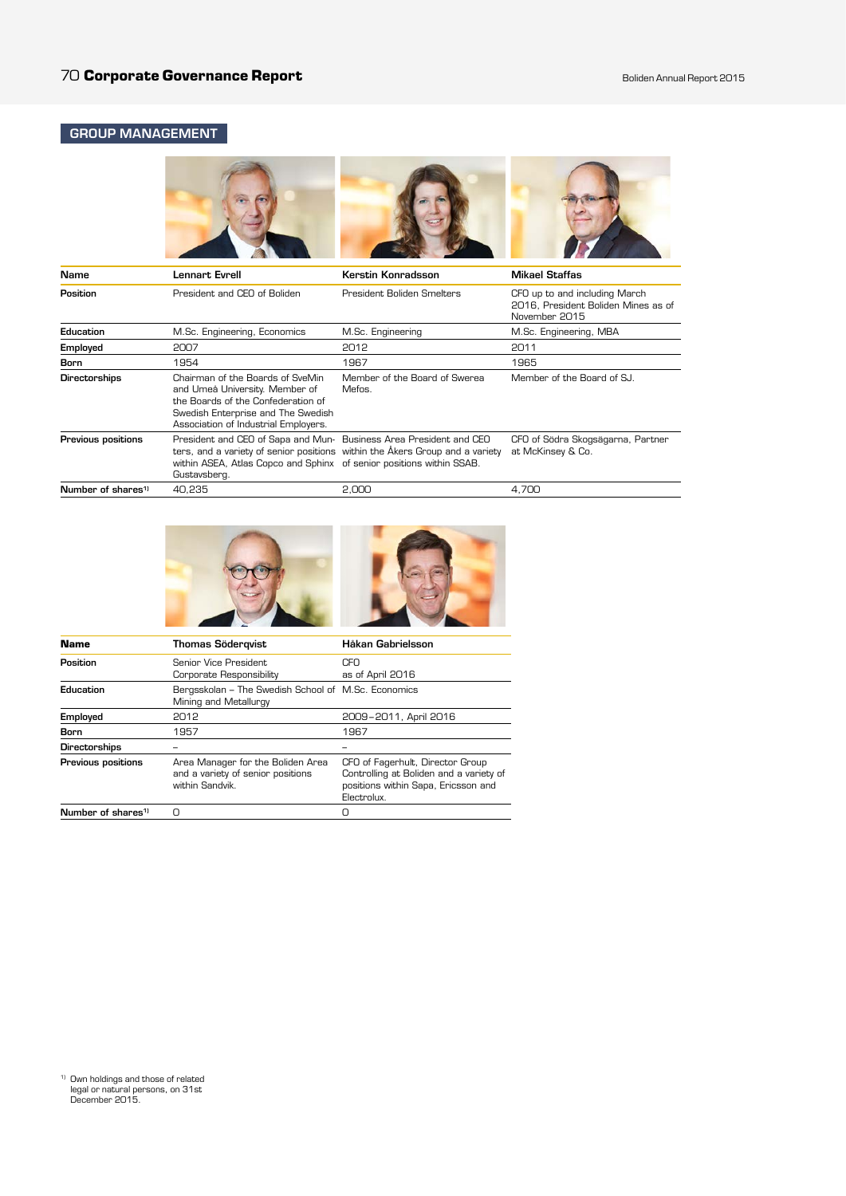## GROUP MANAGEMENT



| Name                           | Lennart Evrell                                                                                                                                                                         | Kerstin Konradsson                                                           | <b>Mikael Staffas</b>                                                                 |
|--------------------------------|----------------------------------------------------------------------------------------------------------------------------------------------------------------------------------------|------------------------------------------------------------------------------|---------------------------------------------------------------------------------------|
| Position                       | President and CEO of Boliden                                                                                                                                                           | President Boliden Smelters                                                   | CFO up to and including March<br>2016. President Boliden Mines as of<br>November 2015 |
| Education                      | M.Sc. Engineering, Economics                                                                                                                                                           | M.Sc. Engineering                                                            | M.Sc. Engineering, MBA                                                                |
| Employed                       | 2007                                                                                                                                                                                   | 2012                                                                         | 2011                                                                                  |
| Born                           | 1954                                                                                                                                                                                   | 1967                                                                         | 1965                                                                                  |
| <b>Directorships</b>           | Chairman of the Boards of SveMin<br>and Umeå University. Member of<br>the Boards of the Confederation of<br>Swedish Enterprise and The Swedish<br>Association of Industrial Employers. | Member of the Board of Swerea<br>Mefos.                                      | Member of the Board of SJ.                                                            |
| <b>Previous positions</b>      | President and CEO of Sapa and Mun- Business Area President and CEO<br>within ASEA, Atlas Copco and Sphinx of senior positions within SSAB.<br>Gustavsberg.                             | ters, and a variety of senior positions within the Akers Group and a variety | CFO of Södra Skogsägarna, Partner<br>at McKinsey & Co.                                |
| Number of shares <sup>11</sup> | 40.235                                                                                                                                                                                 | 2.000                                                                        | 4.700                                                                                 |





| <b>Name</b>                    | <b>Thomas Södergvist</b>                                                                  | Håkan Gabrielsson                                                                                                                 |
|--------------------------------|-------------------------------------------------------------------------------------------|-----------------------------------------------------------------------------------------------------------------------------------|
| Position                       | Senior Vice President<br>Corporate Responsibility                                         | CFO<br>as of April 2016                                                                                                           |
| Education                      | Bergsskolan – The Swedish School of M.Sc. Economics<br>Mining and Metallurgy              |                                                                                                                                   |
| Employed                       | 2012                                                                                      | 2009-2011, April 2016                                                                                                             |
| Born                           | 1957                                                                                      | 1967                                                                                                                              |
| <b>Directorships</b>           |                                                                                           |                                                                                                                                   |
| Previous positions             | Area Manager for the Boliden Area<br>and a variety of senior positions<br>within Sandvik. | CFO of Fagerhult, Director Group<br>Controlling at Boliden and a variety of<br>positions within Sapa, Ericsson and<br>Electrolux. |
| Number of shares <sup>1)</sup> | Ω                                                                                         | Π                                                                                                                                 |